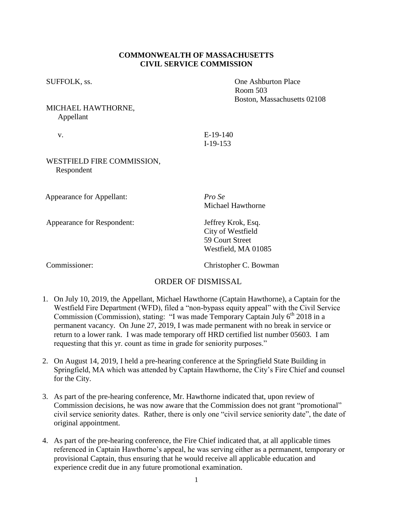#### **COMMONWEALTH OF MASSACHUSETTS CIVIL SERVICE COMMISSION**

# MICHAEL HAWTHORNE, Appellant

v. E-19-140 I-19-153

### WESTFIELD FIRE COMMISSION, Respondent

Appearance for Appellant: *Pro Se*

Appearance for Respondent: Jeffrey Krok, Esq.

Michael Hawthorne

City of Westfield 59 Court Street Westfield, MA 01085

Commissioner: Christopher C. Bowman

# ORDER OF DISMISSAL

- 1. On July 10, 2019, the Appellant, Michael Hawthorne (Captain Hawthorne), a Captain for the Westfield Fire Department (WFD), filed a "non-bypass equity appeal" with the Civil Service Commission (Commission), stating: "I was made Temporary Captain July 6<sup>th</sup> 2018 in a permanent vacancy. On June 27, 2019, I was made permanent with no break in service or return to a lower rank. I was made temporary off HRD certified list number 05603. I am requesting that this yr. count as time in grade for seniority purposes."
- 2. On August 14, 2019, I held a pre-hearing conference at the Springfield State Building in Springfield, MA which was attended by Captain Hawthorne, the City's Fire Chief and counsel for the City.
- 3. As part of the pre-hearing conference, Mr. Hawthorne indicated that, upon review of Commission decisions, he was now aware that the Commission does not grant "promotional" civil service seniority dates. Rather, there is only one "civil service seniority date", the date of original appointment.
- 4. As part of the pre-hearing conference, the Fire Chief indicated that, at all applicable times referenced in Captain Hawthorne's appeal, he was serving either as a permanent, temporary or provisional Captain, thus ensuring that he would receive all applicable education and experience credit due in any future promotional examination.

SUFFOLK, ss.  $\qquad \qquad$  One Ashburton Place Room 503 Boston, Massachusetts 02108